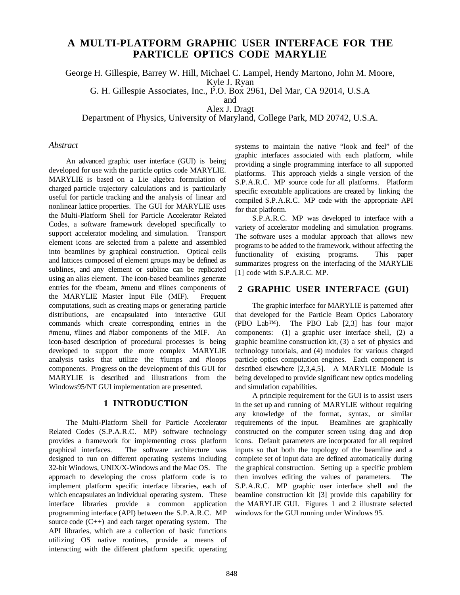# **A MULTI-PLATFORM GRAPHIC USER INTERFACE FOR THE PARTICLE OPTICS CODE MARYLIE**

George H. Gillespie, Barrey W. Hill, Michael C. Lampel, Hendy Martono, John M. Moore,

Kyle J. Ryan

G. H. Gillespie Associates, Inc., P.O. Box 2961, Del Mar, CA 92014, U.S.A

and Alex J. Dragt

Department of Physics, University of Maryland, College Park, MD 20742, U.S.A.

#### *Abstract*

An advanced graphic user interface (GUI) is being developed for use with the particle optics code MARYLIE. MARYLIE is based on a Lie algebra formulation of charged particle trajectory calculations and is particularly useful for particle tracking and the analysis of linear and nonlinear lattice properties. The GUI for MARYLIE uses the Multi-Platform Shell for Particle Accelerator Related Codes, a software framework developed specifically to support accelerator modeling and simulation. Transport element icons are selected from a palette and assembled into beamlines by graphical construction. Optical cells and lattices composed of element groups may be defined as sublines, and any element or subline can be replicated using an alias element. The icon-based beamlines generate entries for the #beam, #menu and #lines components of the MARYLIE Master Input File (MIF). Frequent computations, such as creating maps or generating particle distributions, are encapsulated into interactive GUI commands which create corresponding entries in the #menu, #lines and #labor components of the MIF. An icon-based description of procedural processes is being developed to support the more complex MARYLIE analysis tasks that utilize the #lumps and #loops components. Progress on the development of this GUI for MARYLIE is described and illustrations from the Windows95/NT GUI implementation are presented.

# **1 INTRODUCTION**

The Multi-Platform Shell for Particle Accelerator Related Codes (S.P.A.R.C. MP) software technology provides a framework for implementing cross platform graphical interfaces. The software architecture was designed to run on different operating systems including 32-bit Windows, UNIX/X-Windows and the Mac OS. The approach to developing the cross platform code is to implement platform specific interface libraries, each of which encapsulates an individual operating system. These interface libraries provide a common application programming interface (API) between the S.P.A.R.C. MP source code  $(C_{++})$  and each target operating system. The API libraries, which are a collection of basic functions utilizing OS native routines, provide a means of interacting with the different platform specific operating systems to maintain the native "look and feel" of the graphic interfaces associated with each platform, while providing a single programming interface to all supported platforms. This approach yields a single version of the S.P.A.R.C. MP source code for all platforms. Platform specific executable applications are created by linking the compiled S.P.A.R.C. MP code with the appropriate API for that platform.

S.P.A.R.C. MP was developed to interface with a variety of accelerator modeling and simulation programs. The software uses a modular approach that allows new programsto be added to the framework, without affecting the functionality of existing programs. This paper summarizes progress on the interfacing of the MARYLIE [1] code with S.P.A.R.C. MP.

# **2 GRAPHIC USER INTERFACE (GUI)**

The graphic interface for MARYLIE is patterned after that developed for the Particle Beam Optics Laboratory (PBO Lab™). The PBO Lab [2,3] has four major components: (1) a graphic user interface shell, (2) a graphic beamline construction kit, (3) a set of physics and technology tutorials, and (4) modules for various charged particle optics computation engines. Each component is described elsewhere [2,3,4,5]. A MARYLIE Module is being developed to provide significant new optics modeling and simulation capabilities.

A principle requirement for the GUI is to assist users in the set up and running of MARYLIE without requiring any knowledge of the format, syntax, or similar requirements of the input. Beamlines are graphically constructed on the computer screen using drag and drop icons. Default parameters are incorporated for all required inputs so that both the topology of the beamline and a complete set of input data are defined automatically during the graphical construction. Setting up a specific problem then involves editing the values of parameters. The S.P.A.R.C. MP graphic user interface shell and the beamline construction kit [3] provide this capability for the MARYLIE GUI. Figures 1 and 2 illustrate selected windows for the GUI running under Windows 95.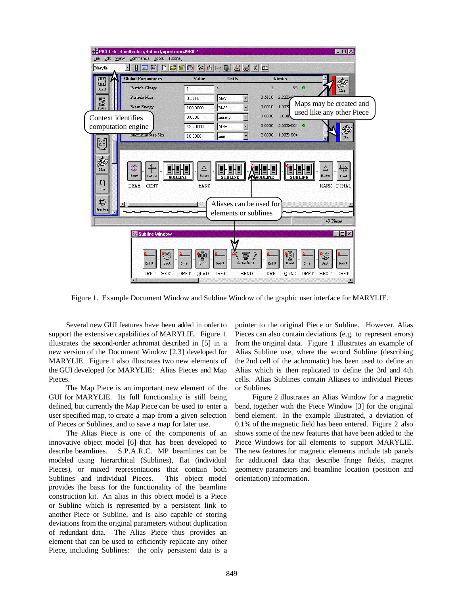

Figure 1. Example Document Window and Subline Window of the graphic user interface for MARYLIE.

Several new GUI features have been added in order to support the extensive capabilities of MARYLIE. Figure 1 illustrates the second-order achromat described in [5] in a new version of the Document Window [2,3] developed for MARYLIE. Figure 1 also illustrates two new elements of the GUI developed for MARYLIE: Alias Pieces and Map Pieces.

The Map Piece is an important new element of the GUI for MARYLIE. Its full functionality is still being defined, but currently the Map Piece can be used to enter a user specified map, to create a map from a given selection of Pieces or Sublines, and to save a map for later use.

The Alias Piece is one of the components of an innovative object model [6] that has been developed to describe beamlines. S.P.A.R.C. MP beamlines can be modeled using hierarchical (Sublines), flat (individual Pieces), or mixed representations that contain both Sublines and individual Pieces. This object model provides the basis for the functionality of the beamline construction kit. An alias in this object model is a Piece or Subline which is represented by a persistent link to another Piece or Subline, and is also capable of storing deviations from the original parameters without duplication of redundant data. The Alias Piece thus provides an element that can be used to efficiently replicate any other Piece, including Sublines: the only persistent data is a

pointer to the original Piece or Subline. However, Alias Pieces can also contain deviations (e.g. to represent errors) from the original data. Figure 1 illustrates an example of Alias Subline use, where the second Subline (describing the 2nd cell of the achromatic) has been used to define an Alias which is then replicated to define the 3rd and 4th cells. Alias Sublines contain Aliases to individual Pieces or Sublines.

Figure 2 illustrates an Alias Window for a magnetic bend, together with the Piece Window [3] for the original bend element. In the example illustrated, a deviation of 0.1% of the magnetic field has been entered. Figure 2 also shows some of the new features that have been added to the Piece Windows for all elements to support MARYLIE. The new features for magnetic elements include tab panels for additional data that describe fringe fields, magnet geometry parameters and beamline location (position and orientation) information.